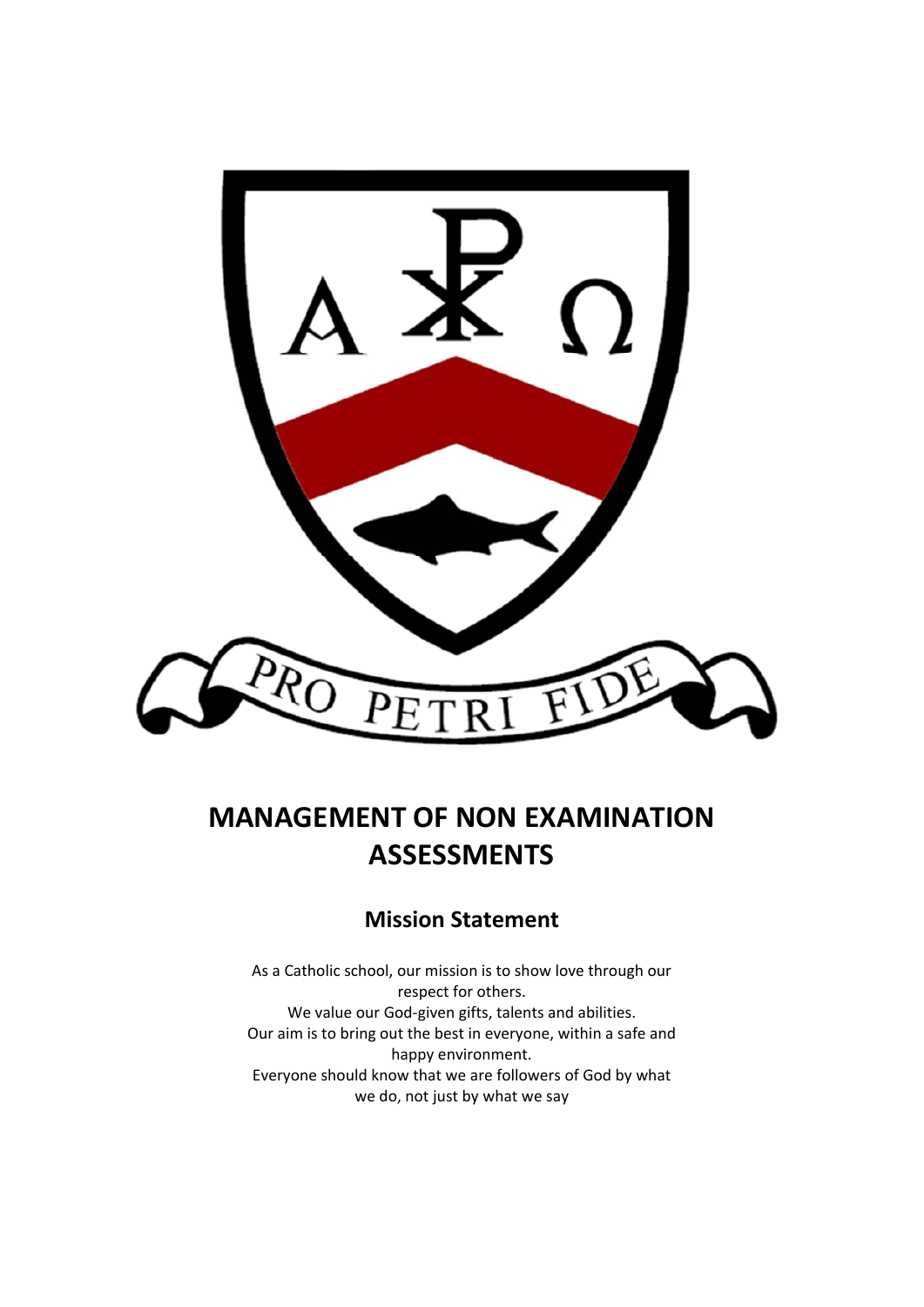

# **MANAGEMENT OF NON EXAMINATION ASSESSMENTS**

# **Mission Statement**

As a Catholic school, our mission is to show love through our respect for others. We value our God-given gifts, talents and abilities. Our aim is to bring out the best in everyone, within a safe and happy environment. Everyone should know that we are followers of God by what we do, not just by what we say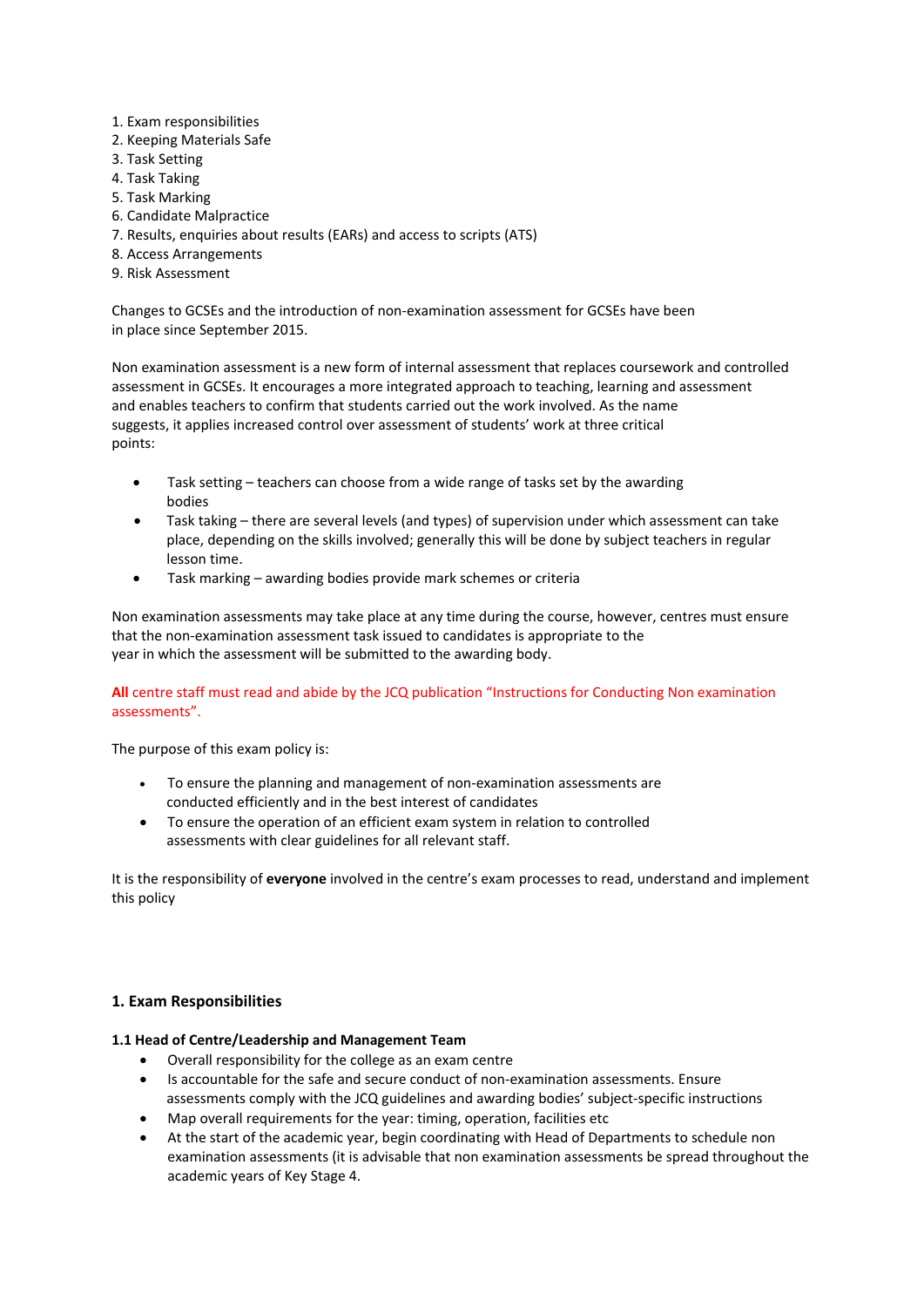- 1. Exam responsibilities
- 2. Keeping Materials Safe
- 3. Task Setting
- 4. Task Taking
- 5. Task Marking
- 6. Candidate Malpractice
- 7. Results, enquiries about results (EARs) and access to scripts (ATS)
- 8. Access Arrangements
- 9. Risk Assessment

Changes to GCSEs and the introduction of non‐examination assessment for GCSEs have been in place since September 2015.

Non examination assessment is a new form of internal assessment that replaces coursework and controlled assessment in GCSEs. It encourages a more integrated approach to teaching, learning and assessment and enables teachers to confirm that students carried out the work involved. As the name suggests, it applies increased control over assessment of students' work at three critical points:

- Task setting teachers can choose from a wide range of tasks set by the awarding bodies
- Task taking there are several levels (and types) of supervision under which assessment can take place, depending on the skills involved; generally this will be done by subject teachers in regular lesson time.
- Task marking awarding bodies provide mark schemes or criteria

Non examination assessments may take place at any time during the course, however, centres must ensure that the non‐examination assessment task issued to candidates is appropriate to the year in which the assessment will be submitted to the awarding body.

# **All** centre staff must read and abide by the JCQ publication "Instructions for Conducting Non examination assessments".

The purpose of this exam policy is:

- To ensure the planning and management of non‐examination assessments are conducted efficiently and in the best interest of candidates
- To ensure the operation of an efficient exam system in relation to controlled assessments with clear guidelines for all relevant staff.

It is the responsibility of **everyone** involved in the centre's exam processes to read, understand and implement this policy

# **1. Exam Responsibilities**

#### **1.1 Head of Centre/Leadership and Management Team**

- Overall responsibility for the college as an exam centre
- Is accountable for the safe and secure conduct of non‐examination assessments. Ensure assessments comply with the JCQ guidelines and awarding bodies' subject‐specific instructions
- Map overall requirements for the year: timing, operation, facilities etc
- At the start of the academic year, begin coordinating with Head of Departments to schedule non examination assessments (it is advisable that non examination assessments be spread throughout the academic years of Key Stage 4.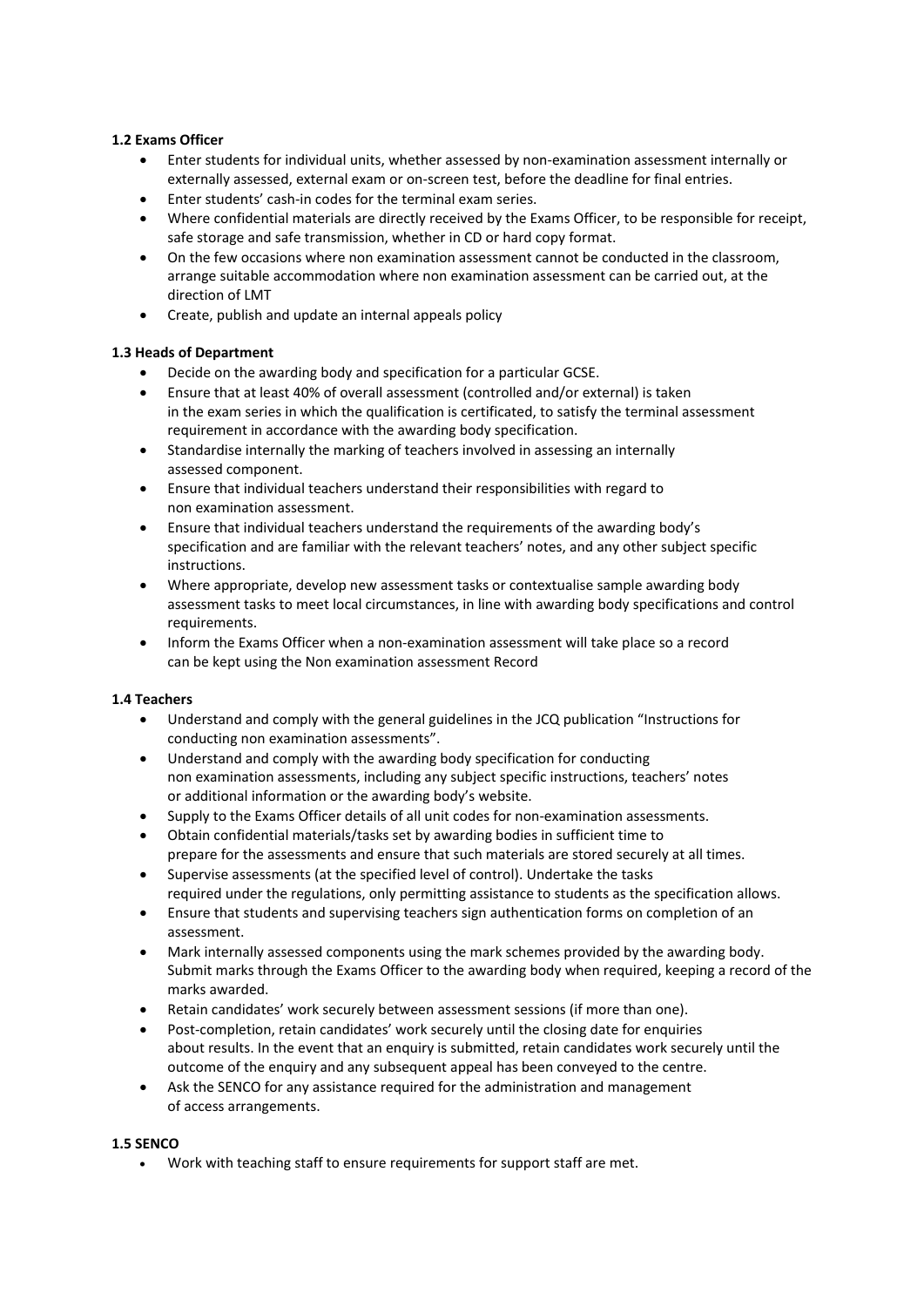# **1.2 Exams Officer**

- Enter students for individual units, whether assessed by non-examination assessment internally or externally assessed, external exam or on‐screen test, before the deadline for final entries.
- Enter students' cash‐in codes for the terminal exam series.
- Where confidential materials are directly received by the Exams Officer, to be responsible for receipt, safe storage and safe transmission, whether in CD or hard copy format.
- On the few occasions where non examination assessment cannot be conducted in the classroom, arrange suitable accommodation where non examination assessment can be carried out, at the direction of LMT
- Create, publish and update an internal appeals policy

# **1.3 Heads of Department**

- Decide on the awarding body and specification for a particular GCSE.
- Ensure that at least 40% of overall assessment (controlled and/or external) is taken in the exam series in which the qualification is certificated, to satisfy the terminal assessment requirement in accordance with the awarding body specification.
- Standardise internally the marking of teachers involved in assessing an internally assessed component.
- Ensure that individual teachers understand their responsibilities with regard to non examination assessment.
- Ensure that individual teachers understand the requirements of the awarding body's specification and are familiar with the relevant teachers' notes, and any other subject specific instructions.
- Where appropriate, develop new assessment tasks or contextualise sample awarding body assessment tasks to meet local circumstances, in line with awarding body specifications and control requirements.
- Inform the Exams Officer when a non-examination assessment will take place so a record can be kept using the Non examination assessment Record

#### **1.4 Teachers**

- Understand and comply with the general guidelines in the JCQ publication "Instructions for conducting non examination assessments".
- Understand and comply with the awarding body specification for conducting non examination assessments, including any subject specific instructions, teachers' notes or additional information or the awarding body's website.
- Supply to the Exams Officer details of all unit codes for non-examination assessments.
- Obtain confidential materials/tasks set by awarding bodies in sufficient time to prepare for the assessments and ensure that such materials are stored securely at all times.
- Supervise assessments (at the specified level of control). Undertake the tasks required under the regulations, only permitting assistance to students as the specification allows.
- Ensure that students and supervising teachers sign authentication forms on completion of an assessment.
- Mark internally assessed components using the mark schemes provided by the awarding body. Submit marks through the Exams Officer to the awarding body when required, keeping a record of the marks awarded.
- Retain candidates' work securely between assessment sessions (if more than one).
- Post-completion, retain candidates' work securely until the closing date for enquiries about results. In the event that an enquiry is submitted, retain candidates work securely until the outcome of the enquiry and any subsequent appeal has been conveyed to the centre.
- Ask the SENCO for any assistance required for the administration and management of access arrangements.

#### **1.5 SENCO**

Work with teaching staff to ensure requirements for support staff are met.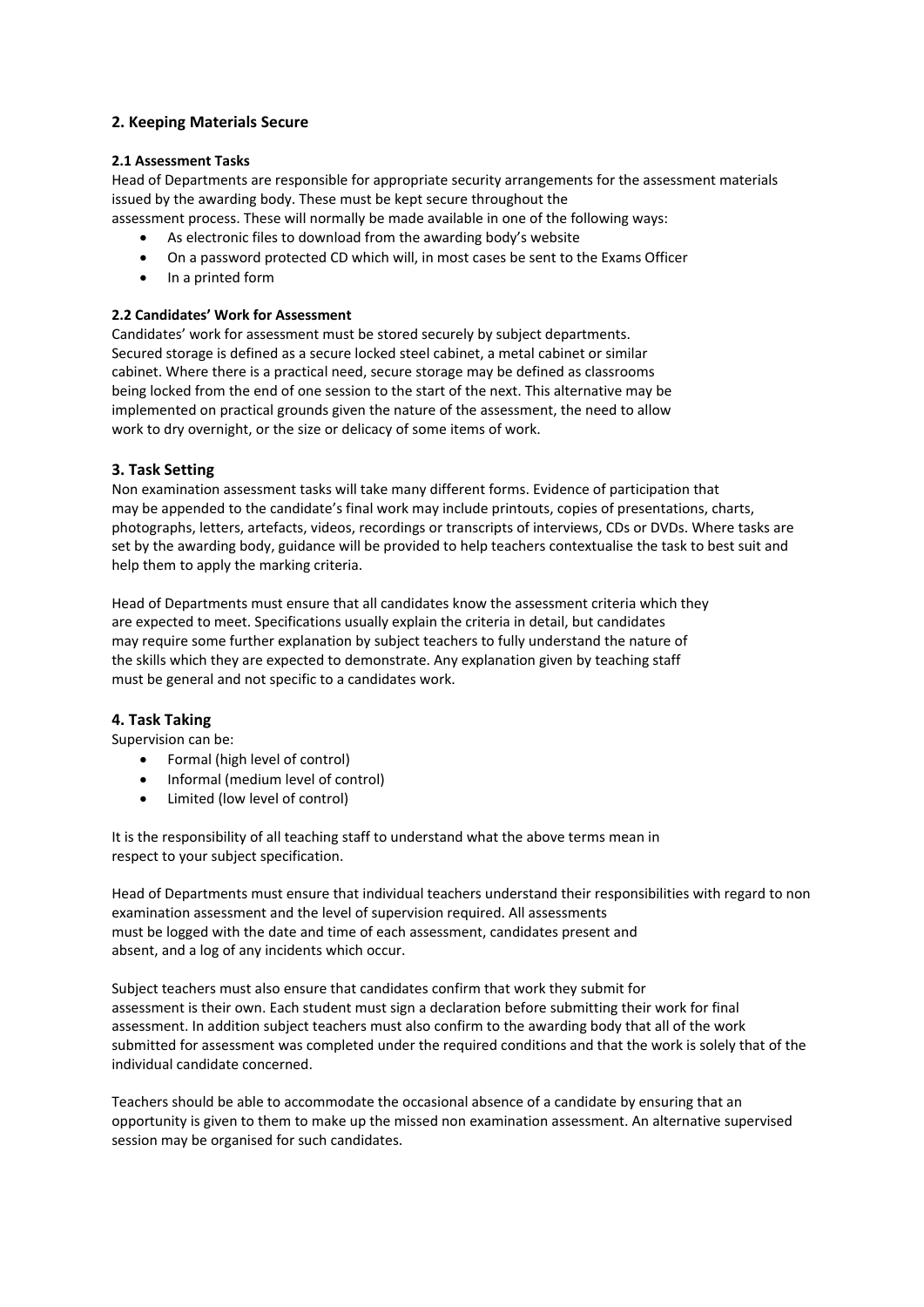# **2. Keeping Materials Secure**

#### **2.1 Assessment Tasks**

Head of Departments are responsible for appropriate security arrangements for the assessment materials issued by the awarding body. These must be kept secure throughout the

- assessment process. These will normally be made available in one of the following ways:
	- As electronic files to download from the awarding body's website
	- On a password protected CD which will, in most cases be sent to the Exams Officer
	- In a printed form

# **2.2 Candidates' Work for Assessment**

Candidates' work for assessment must be stored securely by subject departments. Secured storage is defined as a secure locked steel cabinet, a metal cabinet or similar cabinet. Where there is a practical need, secure storage may be defined as classrooms being locked from the end of one session to the start of the next. This alternative may be implemented on practical grounds given the nature of the assessment, the need to allow work to dry overnight, or the size or delicacy of some items of work.

# **3. Task Setting**

Non examination assessment tasks will take many different forms. Evidence of participation that may be appended to the candidate's final work may include printouts, copies of presentations, charts, photographs, letters, artefacts, videos, recordings or transcripts of interviews, CDs or DVDs. Where tasks are set by the awarding body, guidance will be provided to help teachers contextualise the task to best suit and help them to apply the marking criteria.

Head of Departments must ensure that all candidates know the assessment criteria which they are expected to meet. Specifications usually explain the criteria in detail, but candidates may require some further explanation by subject teachers to fully understand the nature of the skills which they are expected to demonstrate. Any explanation given by teaching staff must be general and not specific to a candidates work.

#### **4. Task Taking**

Supervision can be:

- Formal (high level of control)
- Informal (medium level of control)
- Limited (low level of control)

It is the responsibility of all teaching staff to understand what the above terms mean in respect to your subject specification.

Head of Departments must ensure that individual teachers understand their responsibilities with regard to non examination assessment and the level of supervision required. All assessments must be logged with the date and time of each assessment, candidates present and absent, and a log of any incidents which occur.

Subject teachers must also ensure that candidates confirm that work they submit for assessment is their own. Each student must sign a declaration before submitting their work for final assessment. In addition subject teachers must also confirm to the awarding body that all of the work submitted for assessment was completed under the required conditions and that the work is solely that of the individual candidate concerned.

Teachers should be able to accommodate the occasional absence of a candidate by ensuring that an opportunity is given to them to make up the missed non examination assessment. An alternative supervised session may be organised for such candidates.